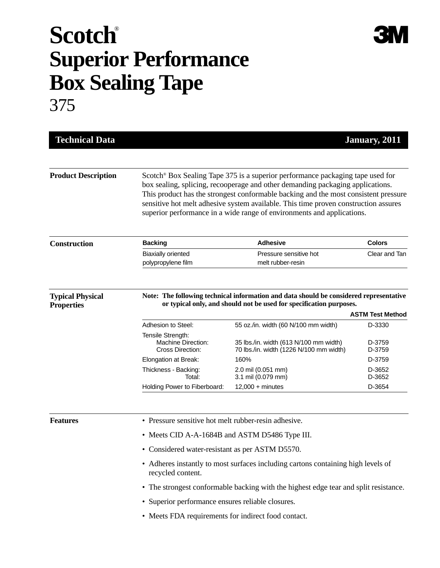## **Scotch**® **Superior Performance Box Sealing Tape** 375

| <b>Technical Data</b>                        |                                                                                                                                                                                                                                                                                                                                                                                                                                      |                                                                                   | January, 2011    |
|----------------------------------------------|--------------------------------------------------------------------------------------------------------------------------------------------------------------------------------------------------------------------------------------------------------------------------------------------------------------------------------------------------------------------------------------------------------------------------------------|-----------------------------------------------------------------------------------|------------------|
| <b>Product Description</b>                   | Scotch <sup>®</sup> Box Sealing Tape 375 is a superior performance packaging tape used for<br>box sealing, splicing, recooperage and other demanding packaging applications.<br>This product has the strongest conformable backing and the most consistent pressure<br>sensitive hot melt adhesive system available. This time proven construction assures<br>superior performance in a wide range of environments and applications. |                                                                                   |                  |
| <b>Construction</b>                          | <b>Backing</b>                                                                                                                                                                                                                                                                                                                                                                                                                       | <b>Adhesive</b>                                                                   | <b>Colors</b>    |
|                                              | <b>Biaxially oriented</b><br>polypropylene film                                                                                                                                                                                                                                                                                                                                                                                      | Pressure sensitive hot<br>melt rubber-resin                                       | Clear and Tan    |
| <b>Typical Physical</b><br><b>Properties</b> | Note: The following technical information and data should be considered representative<br>or typical only, and should not be used for specification purposes.<br><b>ASTM Test Method</b>                                                                                                                                                                                                                                             |                                                                                   |                  |
|                                              | Adhesion to Steel:                                                                                                                                                                                                                                                                                                                                                                                                                   | 55 oz./in. width (60 N/100 mm width)                                              | D-3330           |
|                                              | Tensile Strength:<br><b>Machine Direction:</b><br>Cross Direction:                                                                                                                                                                                                                                                                                                                                                                   | 35 lbs./in. width (613 N/100 mm width)<br>70 lbs./in. width (1226 N/100 mm width) | D-3759<br>D-3759 |
|                                              | Elongation at Break:                                                                                                                                                                                                                                                                                                                                                                                                                 | 160%                                                                              | D-3759           |
|                                              | Thickness - Backing:<br>Total:                                                                                                                                                                                                                                                                                                                                                                                                       | 2.0 mil (0.051 mm)<br>3.1 mil (0.079 mm)                                          | D-3652<br>D-3652 |
|                                              | Holding Power to Fiberboard:                                                                                                                                                                                                                                                                                                                                                                                                         | $12,000 +$ minutes                                                                | D-3654           |
| <b>Features</b>                              | • Pressure sensitive hot melt rubber-resin adhesive.                                                                                                                                                                                                                                                                                                                                                                                 |                                                                                   |                  |
|                                              | • Meets CID A-A-1684B and ASTM D5486 Type III.                                                                                                                                                                                                                                                                                                                                                                                       |                                                                                   |                  |
|                                              | • Considered water-resistant as per ASTM D5570.                                                                                                                                                                                                                                                                                                                                                                                      |                                                                                   |                  |
|                                              | • Adheres instantly to most surfaces including cartons containing high levels of<br>recycled content.                                                                                                                                                                                                                                                                                                                                |                                                                                   |                  |
|                                              | • The strongest conformable backing with the highest edge tear and split resistance.                                                                                                                                                                                                                                                                                                                                                 |                                                                                   |                  |
|                                              | • Superior performance ensures reliable closures.                                                                                                                                                                                                                                                                                                                                                                                    |                                                                                   |                  |
|                                              | • Meets FDA requirements for indirect food contact.                                                                                                                                                                                                                                                                                                                                                                                  |                                                                                   |                  |
|                                              |                                                                                                                                                                                                                                                                                                                                                                                                                                      |                                                                                   |                  |